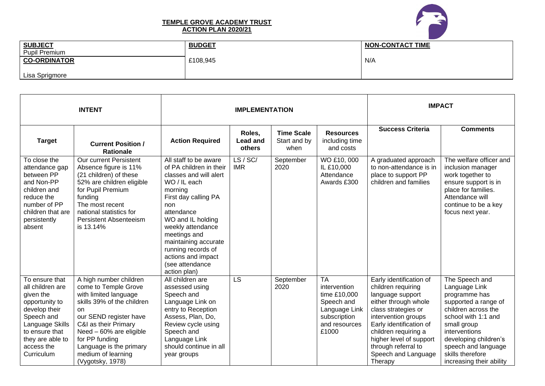

## **TEMPLE GROVE ACADEMY TRUST ACTION PLAN 2020/21**

| <b>SUBJECT</b>       | <b>BUDGET</b> | <b>NON-CONTACT TIME</b> |
|----------------------|---------------|-------------------------|
| <b>Pupil Premium</b> |               |                         |
| <b>CO-ORDINATOR</b>  | £108,945      | N/A                     |
| Lisa Sprigmore       |               |                         |

| <b>INTENT</b>                                                                                                                                                                         |                                                                                                                                                                                                                                                                                 | <b>IMPLEMENTATION</b>                                                                                                                                                                                                                                                                                               |                                     |                                           |                                                                                                                    | <b>IMPACT</b>                                                                                                                                                                                                                                                                  |                                                                                                                                                                                                                                                        |
|---------------------------------------------------------------------------------------------------------------------------------------------------------------------------------------|---------------------------------------------------------------------------------------------------------------------------------------------------------------------------------------------------------------------------------------------------------------------------------|---------------------------------------------------------------------------------------------------------------------------------------------------------------------------------------------------------------------------------------------------------------------------------------------------------------------|-------------------------------------|-------------------------------------------|--------------------------------------------------------------------------------------------------------------------|--------------------------------------------------------------------------------------------------------------------------------------------------------------------------------------------------------------------------------------------------------------------------------|--------------------------------------------------------------------------------------------------------------------------------------------------------------------------------------------------------------------------------------------------------|
| <b>Target</b>                                                                                                                                                                         | <b>Current Position /</b><br><b>Rationale</b>                                                                                                                                                                                                                                   | <b>Action Required</b>                                                                                                                                                                                                                                                                                              | Roles,<br><b>Lead and</b><br>others | <b>Time Scale</b><br>Start and by<br>when | <b>Resources</b><br>including time<br>and costs                                                                    | <b>Success Criteria</b>                                                                                                                                                                                                                                                        | <b>Comments</b>                                                                                                                                                                                                                                        |
| To close the<br>attendance gap<br>between PP<br>and Non-PP<br>children and<br>reduce the<br>number of PP<br>children that are<br>persistently<br>absent                               | Our current Persistent<br>Absence figure is 11%<br>(21 children) of these<br>52% are children eligible<br>for Pupil Premium<br>funding<br>The most recent<br>national statistics for<br><b>Persistent Absenteeism</b><br>is 13.14%                                              | All staff to be aware<br>of PA children in their<br>classes and will alert<br>WO / IL each<br>morning<br>First day calling PA<br>non<br>attendance<br>WO and IL holding<br>weekly attendance<br>meetings and<br>maintaining accurate<br>running records of<br>actions and impact<br>(see attendance<br>action plan) | LS / SC/<br><b>IMR</b>              | September<br>2020                         | WO £10,000<br>IL £10,000<br>Attendance<br>Awards £300                                                              | A graduated approach<br>to non-attendance is in<br>place to support PP<br>children and families                                                                                                                                                                                | The welfare officer and<br>inclusion manager<br>work together to<br>ensure support is in<br>place for families.<br>Attendance will<br>continue to be a key<br>focus next year.                                                                         |
| To ensure that<br>all children are<br>given the<br>opportunity to<br>develop their<br>Speech and<br>Language Skills<br>to ensure that<br>they are able to<br>access the<br>Curriculum | A high number children<br>come to Temple Grove<br>with limited language<br>skills 39% of the children<br>on<br>our SEND register have<br>C&I as their Primary<br>Need - 60% are eligible<br>for PP funding<br>Language is the primary<br>medium of learning<br>(Vygotsky, 1978) | All children are<br>assessed using<br>Speech and<br>Language Link on<br>entry to Reception<br>Assess, Plan, Do,<br>Review cycle using<br>Speech and<br>Language Link<br>should continue in all<br>year groups                                                                                                       | LS                                  | September<br>2020                         | <b>TA</b><br>intervention<br>time £10,000<br>Speech and<br>Language Link<br>subscription<br>and resources<br>£1000 | Early identification of<br>children requiring<br>language support<br>either through whole<br>class strategies or<br>intervention groups<br>Early identification of<br>children requiring a<br>higher level of support<br>through referral to<br>Speech and Language<br>Therapy | The Speech and<br>Language Link<br>programme has<br>supported a range of<br>children across the<br>school with 1:1 and<br>small group<br>interventions<br>developing children's<br>speech and language<br>skills therefore<br>increasing their ability |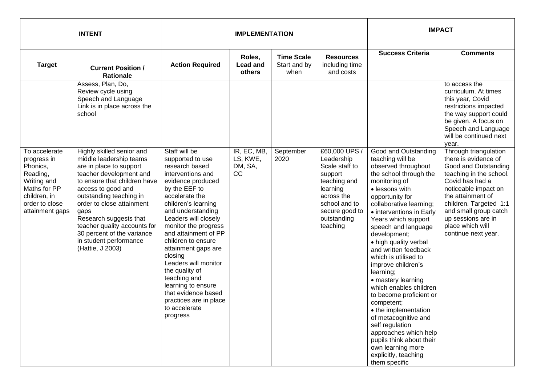| <b>INTENT</b>                                                                                                                            |                                                                                                                                                                                                                                                                                                                                                                        |                                                                                                                                                                                                                                                                                                                                                                                                                                                                            | <b>IMPLEMENTATION</b>                    |                                           | <b>IMPACT</b>                                                                                                                                                    |                                                                                                                                                                                                                                                                                                                                                                                                                                                                                                                                                                                                                                                                 |                                                                                                                                                                                                                                                                                      |
|------------------------------------------------------------------------------------------------------------------------------------------|------------------------------------------------------------------------------------------------------------------------------------------------------------------------------------------------------------------------------------------------------------------------------------------------------------------------------------------------------------------------|----------------------------------------------------------------------------------------------------------------------------------------------------------------------------------------------------------------------------------------------------------------------------------------------------------------------------------------------------------------------------------------------------------------------------------------------------------------------------|------------------------------------------|-------------------------------------------|------------------------------------------------------------------------------------------------------------------------------------------------------------------|-----------------------------------------------------------------------------------------------------------------------------------------------------------------------------------------------------------------------------------------------------------------------------------------------------------------------------------------------------------------------------------------------------------------------------------------------------------------------------------------------------------------------------------------------------------------------------------------------------------------------------------------------------------------|--------------------------------------------------------------------------------------------------------------------------------------------------------------------------------------------------------------------------------------------------------------------------------------|
| <b>Target</b>                                                                                                                            | <b>Current Position /</b><br><b>Rationale</b>                                                                                                                                                                                                                                                                                                                          | <b>Action Required</b>                                                                                                                                                                                                                                                                                                                                                                                                                                                     | Roles,<br><b>Lead and</b><br>others      | <b>Time Scale</b><br>Start and by<br>when | <b>Resources</b><br>including time<br>and costs                                                                                                                  | <b>Success Criteria</b>                                                                                                                                                                                                                                                                                                                                                                                                                                                                                                                                                                                                                                         | <b>Comments</b>                                                                                                                                                                                                                                                                      |
|                                                                                                                                          | Assess, Plan, Do,<br>Review cycle using<br>Speech and Language<br>Link is in place across the<br>school                                                                                                                                                                                                                                                                |                                                                                                                                                                                                                                                                                                                                                                                                                                                                            |                                          |                                           |                                                                                                                                                                  |                                                                                                                                                                                                                                                                                                                                                                                                                                                                                                                                                                                                                                                                 | to access the<br>curriculum. At times<br>this year, Covid<br>restrictions impacted<br>the way support could<br>be given. A focus on<br>Speech and Language<br>will be continued next<br>year.                                                                                        |
| To accelerate<br>progress in<br>Phonics,<br>Reading,<br>Writing and<br>Maths for PP<br>children, in<br>order to close<br>attainment gaps | Highly skilled senior and<br>middle leadership teams<br>are in place to support<br>teacher development and<br>to ensure that children have<br>access to good and<br>outstanding teaching in<br>order to close attainment<br>gaps<br>Research suggests that<br>teacher quality accounts for<br>30 percent of the variance<br>in student performance<br>(Hattie, J 2003) | Staff will be<br>supported to use<br>research based<br>interventions and<br>evidence produced<br>by the EEF to<br>accelerate the<br>children's learning<br>and understanding<br>Leaders will closely<br>monitor the progress<br>and attainment of PP<br>children to ensure<br>attainment gaps are<br>closing<br>Leaders will monitor<br>the quality of<br>teaching and<br>learning to ensure<br>that evidence based<br>practices are in place<br>to accelerate<br>progress | IR, EC, MB,<br>LS, KWE,<br>DM, SA,<br>cc | September<br>2020                         | £60,000 UPS /<br>Leadership<br>Scale staff to<br>support<br>teaching and<br>learning<br>across the<br>school and to<br>secure good to<br>outstanding<br>teaching | Good and Outstanding<br>teaching will be<br>observed throughout<br>the school through the<br>monitoring of<br>• lessons with<br>opportunity for<br>collaborative learning;<br>• interventions in Early<br>Years which support<br>speech and language<br>development;<br>• high quality verbal<br>and written feedback<br>which is utilised to<br>improve children's<br>learning;<br>• mastery learning<br>which enables children<br>to become proficient or<br>competent;<br>• the implementation<br>of metacognitive and<br>self regulation<br>approaches which help<br>pupils think about their<br>own learning more<br>explicitly, teaching<br>them specific | Through triangulation<br>there is evidence of<br>Good and Outstanding<br>teaching in the school.<br>Covid has had a<br>noticeable impact on<br>the attainment of<br>children. Targeted 1:1<br>and small group catch<br>up sessions are in<br>place which will<br>continue next year. |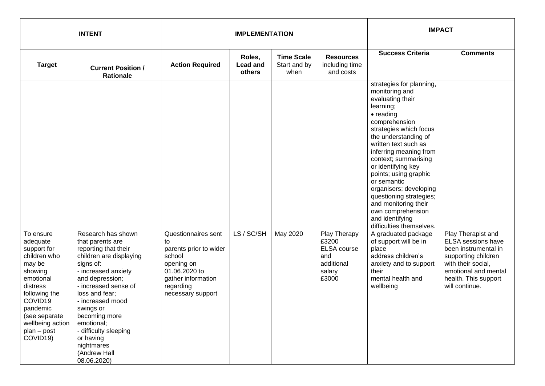| <b>INTENT</b>                                                                                                                                                                                 |                                                                                                                                                                                                                                                                                                                         | <b>IMPLEMENTATION</b>                                                                                                         |                                     |                                           |                                                                     | <b>IMPACT</b>                                                                                                                                                                                                                                                                                                                                                                                                                                                               |                                                                                                                                                                  |
|-----------------------------------------------------------------------------------------------------------------------------------------------------------------------------------------------|-------------------------------------------------------------------------------------------------------------------------------------------------------------------------------------------------------------------------------------------------------------------------------------------------------------------------|-------------------------------------------------------------------------------------------------------------------------------|-------------------------------------|-------------------------------------------|---------------------------------------------------------------------|-----------------------------------------------------------------------------------------------------------------------------------------------------------------------------------------------------------------------------------------------------------------------------------------------------------------------------------------------------------------------------------------------------------------------------------------------------------------------------|------------------------------------------------------------------------------------------------------------------------------------------------------------------|
| <b>Target</b>                                                                                                                                                                                 | <b>Current Position /</b><br><b>Rationale</b>                                                                                                                                                                                                                                                                           | <b>Action Required</b>                                                                                                        | Roles,<br><b>Lead and</b><br>others | <b>Time Scale</b><br>Start and by<br>when | <b>Resources</b><br>including time<br>and costs                     | <b>Success Criteria</b>                                                                                                                                                                                                                                                                                                                                                                                                                                                     | <b>Comments</b>                                                                                                                                                  |
| To ensure                                                                                                                                                                                     | Research has shown                                                                                                                                                                                                                                                                                                      | Questionnaires sent                                                                                                           | LS / SC/SH                          | May 2020                                  | Play Therapy                                                        | strategies for planning,<br>monitoring and<br>evaluating their<br>learning;<br>• reading<br>comprehension<br>strategies which focus<br>the understanding of<br>written text such as<br>inferring meaning from<br>context; summarising<br>or identifying key<br>points; using graphic<br>or semantic<br>organisers; developing<br>questioning strategies;<br>and monitoring their<br>own comprehension<br>and identifying<br>difficulties themselves.<br>A graduated package | Play Therapist and                                                                                                                                               |
| adequate<br>support for<br>children who<br>may be<br>showing<br>emotional<br>distress<br>following the<br>COVID19<br>pandemic<br>(see separate<br>wellbeing action<br>plan - post<br>COVID19) | that parents are<br>reporting that their<br>children are displaying<br>signs of:<br>- increased anxiety<br>and depression;<br>- increased sense of<br>loss and fear;<br>- increased mood<br>swings or<br>becoming more<br>emotional;<br>- difficulty sleeping<br>or having<br>nightmares<br>(Andrew Hall<br>08.06.2020) | to<br>parents prior to wider<br>school<br>opening on<br>01.06.2020 to<br>gather information<br>regarding<br>necessary support |                                     |                                           | £3200<br><b>ELSA</b> course<br>and<br>additional<br>salary<br>£3000 | of support will be in<br>place<br>address children's<br>anxiety and to support<br>their<br>mental health and<br>wellbeing                                                                                                                                                                                                                                                                                                                                                   | <b>ELSA</b> sessions have<br>been instrumental in<br>supporting children<br>with their social,<br>emotional and mental<br>health. This support<br>will continue. |